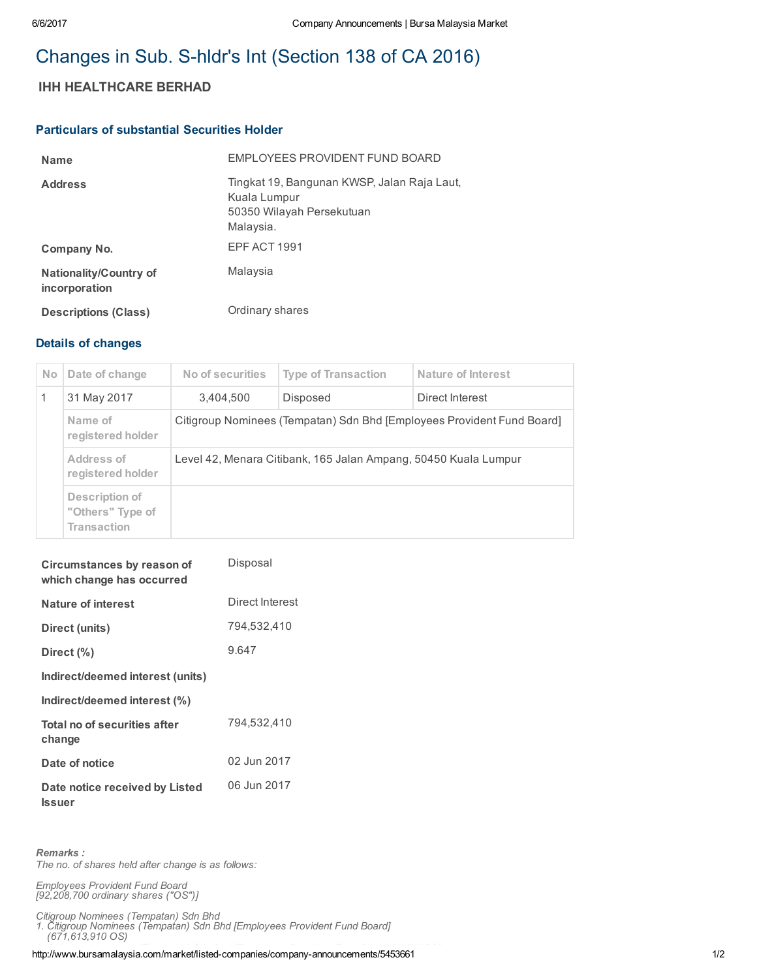# Changes in Sub. S-hldr's Int (Section 138 of CA 2016)

## IHH HEALTHCARE BERHAD

#### Particulars of substantial Securities Holder

| <b>Name</b>                                    | EMPLOYEES PROVIDENT FUND BOARD                                                                        |
|------------------------------------------------|-------------------------------------------------------------------------------------------------------|
| <b>Address</b>                                 | Tingkat 19, Bangunan KWSP, Jalan Raja Laut,<br>Kuala Lumpur<br>50350 Wilayah Persekutuan<br>Malaysia. |
| Company No.                                    | EPF ACT 1991                                                                                          |
| <b>Nationality/Country of</b><br>incorporation | Malaysia                                                                                              |
| <b>Descriptions (Class)</b>                    | Ordinary shares                                                                                       |

### Details of changes

| <b>No</b> | Date of change                                           | No of securities                                                       | <b>Type of Transaction</b> | <b>Nature of Interest</b> |  |
|-----------|----------------------------------------------------------|------------------------------------------------------------------------|----------------------------|---------------------------|--|
|           | 31 May 2017                                              | 3.404.500                                                              | Disposed                   | Direct Interest           |  |
|           | Name of<br>registered holder                             | Citigroup Nominees (Tempatan) Sdn Bhd [Employees Provident Fund Board] |                            |                           |  |
|           | Address of<br>registered holder                          | Level 42, Menara Citibank, 165 Jalan Ampang, 50450 Kuala Lumpur        |                            |                           |  |
|           | Description of<br>"Others" Type of<br><b>Transaction</b> |                                                                        |                            |                           |  |

| Circumstances by reason of<br>which change has occurred | Disposal        |
|---------------------------------------------------------|-----------------|
| <b>Nature of interest</b>                               | Direct Interest |
| Direct (units)                                          | 794,532,410     |
| Direct (%)                                              | 9.647           |
| Indirect/deemed interest (units)                        |                 |
| Indirect/deemed interest (%)                            |                 |
| Total no of securities after<br>change                  | 794,532,410     |
| Date of notice                                          | 02 Jun 2017     |
| Date notice received by Listed<br><b>Issuer</b>         | 06 Jun 2017     |

Remarks : The no. of shares held after change is as follows:

Employees Provident Fund Board [92,208,700 ordinary shares ("OS")]

Citigroup Nominees (Tempatan) Sdn Bhd

1. Citigroup Nominees (Tempatan) Sdn Bhd [Employees Provident Fund Board] (671,613,910 OS)

http://www.bursamalaysia.com/market/listed-companies/company-announcements/5453661